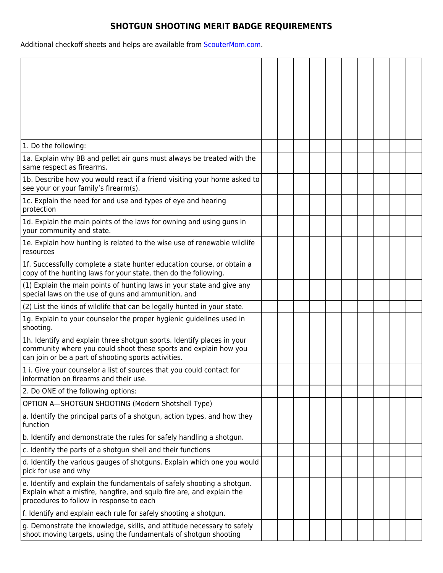## **SHOTGUN SHOOTING MERIT BADGE REQUIREMENTS**

Additional checkoff sheets and helps are available from **ScouterMom.com**.

| 1. Do the following:                                                                                                                                                                               |  |  |  |  |  |
|----------------------------------------------------------------------------------------------------------------------------------------------------------------------------------------------------|--|--|--|--|--|
| 1a. Explain why BB and pellet air guns must always be treated with the<br>same respect as firearms.                                                                                                |  |  |  |  |  |
| 1b. Describe how you would react if a friend visiting your home asked to<br>see your or your family's firearm(s).                                                                                  |  |  |  |  |  |
| 1c. Explain the need for and use and types of eye and hearing<br>protection                                                                                                                        |  |  |  |  |  |
| 1d. Explain the main points of the laws for owning and using guns in<br>your community and state.                                                                                                  |  |  |  |  |  |
| 1e. Explain how hunting is related to the wise use of renewable wildlife<br>resources                                                                                                              |  |  |  |  |  |
| 1f. Successfully complete a state hunter education course, or obtain a<br>copy of the hunting laws for your state, then do the following.                                                          |  |  |  |  |  |
| (1) Explain the main points of hunting laws in your state and give any<br>special laws on the use of guns and ammunition, and                                                                      |  |  |  |  |  |
| (2) List the kinds of wildlife that can be legally hunted in your state.                                                                                                                           |  |  |  |  |  |
| 1g. Explain to your counselor the proper hygienic guidelines used in<br>shooting.                                                                                                                  |  |  |  |  |  |
| 1h. Identify and explain three shotgun sports. Identify places in your<br>community where you could shoot these sports and explain how you<br>can join or be a part of shooting sports activities. |  |  |  |  |  |
| 1 i. Give your counselor a list of sources that you could contact for<br>information on firearms and their use.                                                                                    |  |  |  |  |  |
| 2. Do ONE of the following options:                                                                                                                                                                |  |  |  |  |  |
| OPTION A-SHOTGUN SHOOTING (Modern Shotshell Type)                                                                                                                                                  |  |  |  |  |  |
| a. Identify the principal parts of a shotgun, action types, and how they<br>function                                                                                                               |  |  |  |  |  |
| b. Identify and demonstrate the rules for safely handling a shotgun.                                                                                                                               |  |  |  |  |  |
| c. Identify the parts of a shotgun shell and their functions                                                                                                                                       |  |  |  |  |  |
| d. Identify the various gauges of shotguns. Explain which one you would<br>pick for use and why                                                                                                    |  |  |  |  |  |
| e. Identify and explain the fundamentals of safely shooting a shotgun.<br>Explain what a misfire, hangfire, and squib fire are, and explain the<br>procedures to follow in response to each        |  |  |  |  |  |
| f. Identify and explain each rule for safely shooting a shotgun.                                                                                                                                   |  |  |  |  |  |
| g. Demonstrate the knowledge, skills, and attitude necessary to safely<br>shoot moving targets, using the fundamentals of shotgun shooting                                                         |  |  |  |  |  |